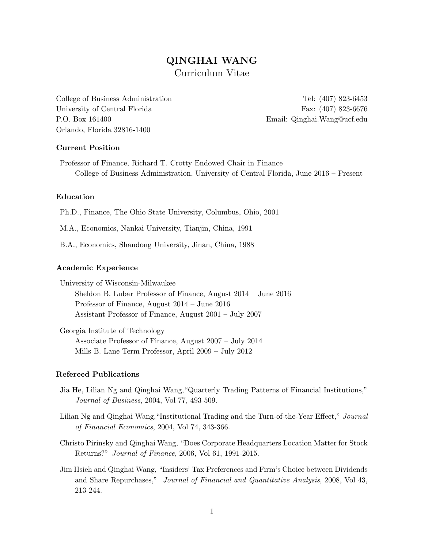# QINGHAI WANG Curriculum Vitae

College of Business Administration Tel: (407) 823-6453 University of Central Florida Fax: (407) 823-6676 P.O. Box 161400 Email: Qinghai.Wang@ucf.edu Orlando, Florida 32816-1400

## Current Position

Professor of Finance, Richard T. Crotty Endowed Chair in Finance College of Business Administration, University of Central Florida, June 2016 – Present

# Education

Ph.D., Finance, The Ohio State University, Columbus, Ohio, 2001

M.A., Economics, Nankai University, Tianjin, China, 1991

B.A., Economics, Shandong University, Jinan, China, 1988

#### Academic Experience

University of Wisconsin-Milwaukee Sheldon B. Lubar Professor of Finance, August 2014 – June 2016 Professor of Finance, August 2014 – June 2016 Assistant Professor of Finance, August 2001 – July 2007

Georgia Institute of Technology Associate Professor of Finance, August 2007 – July 2014 Mills B. Lane Term Professor, April 2009 – July 2012

#### Refereed Publications

- Jia He, Lilian Ng and Qinghai Wang,"Quarterly Trading Patterns of Financial Institutions," Journal of Business, 2004, Vol 77, 493-509.
- Lilian Ng and Qinghai Wang,"Institutional Trading and the Turn-of-the-Year Effect," Journal of Financial Economics, 2004, Vol 74, 343-366.
- Christo Pirinsky and Qinghai Wang, "Does Corporate Headquarters Location Matter for Stock Returns?" Journal of Finance, 2006, Vol 61, 1991-2015.
- Jim Hsieh and Qinghai Wang, "Insiders' Tax Preferences and Firm's Choice between Dividends and Share Repurchases," Journal of Financial and Quantitative Analysis, 2008, Vol 43, 213-244.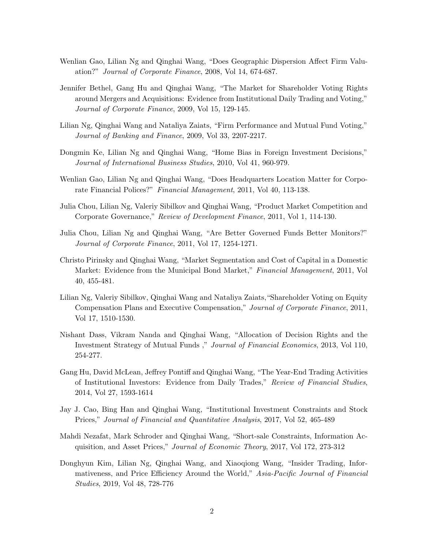- Wenlian Gao, Lilian Ng and Qinghai Wang, "Does Geographic Dispersion Affect Firm Valuation?" Journal of Corporate Finance, 2008, Vol 14, 674-687.
- Jennifer Bethel, Gang Hu and Qinghai Wang, "The Market for Shareholder Voting Rights around Mergers and Acquisitions: Evidence from Institutional Daily Trading and Voting," Journal of Corporate Finance, 2009, Vol 15, 129-145.
- Lilian Ng, Qinghai Wang and Nataliya Zaiats, "Firm Performance and Mutual Fund Voting," Journal of Banking and Finance, 2009, Vol 33, 2207-2217.
- Dongmin Ke, Lilian Ng and Qinghai Wang, "Home Bias in Foreign Investment Decisions," Journal of International Business Studies, 2010, Vol 41, 960-979.
- Wenlian Gao, Lilian Ng and Qinghai Wang, "Does Headquarters Location Matter for Corporate Financial Polices?" Financial Management, 2011, Vol 40, 113-138.
- Julia Chou, Lilian Ng, Valeriy Sibilkov and Qinghai Wang, "Product Market Competition and Corporate Governance," Review of Development Finance, 2011, Vol 1, 114-130.
- Julia Chou, Lilian Ng and Qinghai Wang, "Are Better Governed Funds Better Monitors?" Journal of Corporate Finance, 2011, Vol 17, 1254-1271.
- Christo Pirinsky and Qinghai Wang, "Market Segmentation and Cost of Capital in a Domestic Market: Evidence from the Municipal Bond Market," Financial Management, 2011, Vol 40, 455-481.
- Lilian Ng, Valeriy Sibilkov, Qinghai Wang and Nataliya Zaiats,"Shareholder Voting on Equity Compensation Plans and Executive Compensation," Journal of Corporate Finance, 2011, Vol 17, 1510-1530.
- Nishant Dass, Vikram Nanda and Qinghai Wang, "Allocation of Decision Rights and the Investment Strategy of Mutual Funds ," Journal of Financial Economics, 2013, Vol 110, 254-277.
- Gang Hu, David McLean, Jeffrey Pontiff and Qinghai Wang, "The Year-End Trading Activities of Institutional Investors: Evidence from Daily Trades," Review of Financial Studies, 2014, Vol 27, 1593-1614
- Jay J. Cao, Bing Han and Qinghai Wang, "Institutional Investment Constraints and Stock Prices," Journal of Financial and Quantitative Analysis, 2017, Vol 52, 465-489
- Mahdi Nezafat, Mark Schroder and Qinghai Wang, "Short-sale Constraints, Information Acquisition, and Asset Prices," Journal of Economic Theory, 2017, Vol 172, 273-312
- Donghyun Kim, Lilian Ng, Qinghai Wang, and Xiaoqiong Wang, "Insider Trading, Informativeness, and Price Efficiency Around the World," Asia-Pacific Journal of Financial Studies, 2019, Vol 48, 728-776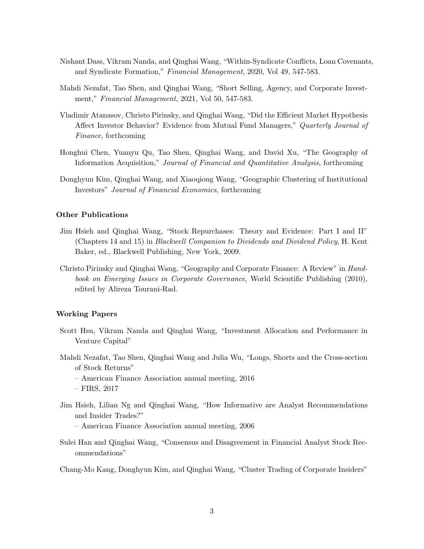- Nishant Dass, Vikram Nanda, and Qinghai Wang, "Within-Syndicate Conflicts, Loan Covenants, and Syndicate Formation," Financial Management, 2020, Vol 49, 547-583.
- Mahdi Nezafat, Tao Shen, and Qinghai Wang, "Short Selling, Agency, and Corporate Investment," Financial Management, 2021, Vol 50, 547-583.
- Vladimir Atanasov, Christo Pirinsky, and Qinghai Wang, "Did the Efficient Market Hypothesis Affect Investor Behavior? Evidence from Mutual Fund Managers," Quarterly Journal of Finance, forthcoming
- Honghui Chen, Yuanyu Qu, Tao Shen, Qinghai Wang, and David Xu, "The Geography of Information Acquisition," Journal of Financial and Quantitative Analysis, forthcoming
- Donghyun Kim, Qinghai Wang, and Xiaoqiong Wang, "Geographic Clustering of Institutional Investors" Journal of Financial Economics, forthcoming

# Other Publications

- Jim Hsieh and Qinghai Wang, "Stock Repurchases: Theory and Evidence: Part I and II" (Chapters 14 and 15) in Blackwell Companion to Dividends and Dividend Policy, H. Kent Baker, ed., Blackwell Publishing, New York, 2009.
- Christo Pirinsky and Qinghai Wang, "Geography and Corporate Finance: A Review" in Handbook on Emerging Issues in Corporate Governance, World Scientific Publishing (2010), edited by Alireza Tourani-Rad.

#### Working Papers

- Scott Hsu, Vikram Nanda and Qinghai Wang, "Investment Allocation and Performance in Venture Capital"
- Mahdi Nezafat, Tao Shen, Qinghai Wang and Julia Wu, "Longs, Shorts and the Cross-section of Stock Returns"
	- American Finance Association annual meeting, 2016
	- FIRS, 2017
- Jim Hsieh, Lilian Ng and Qinghai Wang, "How Informative are Analyst Recommendations and Insider Trades?"

– American Finance Association annual meeting, 2006

Sulei Han and Qinghai Wang, "Consensus and Disagreement in Financial Analyst Stock Recommendations"

Chang-Mo Kang, Donghyun Kim, and Qinghai Wang, "Cluster Trading of Corporate Insiders"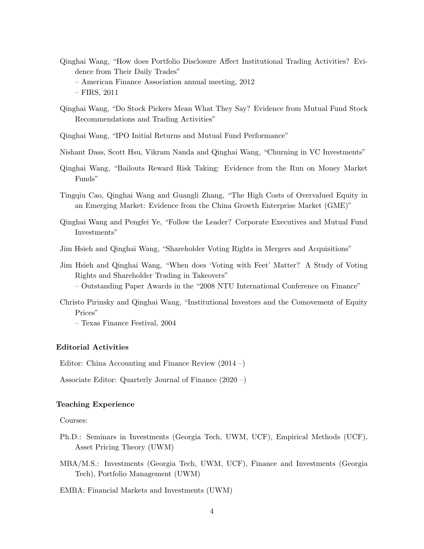- Qinghai Wang, "How does Portfolio Disclosure Affect Institutional Trading Activities? Evidence from Their Daily Trades"
	- American Finance Association annual meeting, 2012

- Qinghai Wang, "Do Stock Pickers Mean What They Say? Evidence from Mutual Fund Stock Recommendations and Trading Activities"
- Qinghai Wang, "IPO Initial Returns and Mutual Fund Performance"
- Nishant Dass, Scott Hsu, Vikram Nanda and Qinghai Wang, "Churning in VC Investments"
- Qinghai Wang, "Bailouts Reward Risk Taking: Evidence from the Run on Money Market Funds"
- Tingqiu Cao, Qinghai Wang and Guangli Zhang, "The High Costs of Overvalued Equity in an Emerging Market: Evidence from the China Growth Enterprise Market (GME)"
- Qinghai Wang and Pengfei Ye, "Follow the Leader? Corporate Executives and Mutual Fund Investments"
- Jim Hsieh and Qinghai Wang, "Shareholder Voting Rights in Mergers and Acquisitions"
- Jim Hsieh and Qinghai Wang, "When does 'Voting with Feet' Matter? A Study of Voting Rights and Shareholder Trading in Takeovers"
	- Outstanding Paper Awards in the "2008 NTU International Conference on Finance"
- Christo Pirinsky and Qinghai Wang, "Institutional Investors and the Comovement of Equity Prices"
	- Texas Finance Festival, 2004

## Editorial Activities

Editor: China Accounting and Finance Review (2014 –)

Associate Editor: Quarterly Journal of Finance (2020 –)

## Teaching Experience

#### Courses:

- Ph.D.: Seminars in Investments (Georgia Tech, UWM, UCF), Empirical Methods (UCF), Asset Pricing Theory (UWM)
- MBA/M.S.: Investments (Georgia Tech, UWM, UCF), Finance and Investments (Georgia Tech), Portfolio Management (UWM)

EMBA: Financial Markets and Investments (UWM)

<sup>–</sup> FIRS, 2011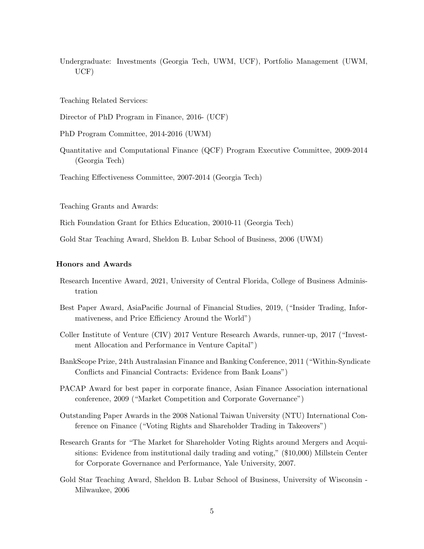Undergraduate: Investments (Georgia Tech, UWM, UCF), Portfolio Management (UWM, UCF)

Teaching Related Services:

Director of PhD Program in Finance, 2016- (UCF)

PhD Program Committee, 2014-2016 (UWM)

Quantitative and Computational Finance (QCF) Program Executive Committee, 2009-2014 (Georgia Tech)

Teaching Effectiveness Committee, 2007-2014 (Georgia Tech)

Teaching Grants and Awards:

Rich Foundation Grant for Ethics Education, 20010-11 (Georgia Tech)

Gold Star Teaching Award, Sheldon B. Lubar School of Business, 2006 (UWM)

# Honors and Awards

- Research Incentive Award, 2021, University of Central Florida, College of Business Administration
- Best Paper Award, AsiaPacific Journal of Financial Studies, 2019, ("Insider Trading, Informativeness, and Price Efficiency Around the World")
- Coller Institute of Venture (CIV) 2017 Venture Research Awards, runner-up, 2017 ("Investment Allocation and Performance in Venture Capital")
- BankScope Prize, 24th Australasian Finance and Banking Conference, 2011 ("Within-Syndicate Conflicts and Financial Contracts: Evidence from Bank Loans")
- PACAP Award for best paper in corporate finance, Asian Finance Association international conference, 2009 ("Market Competition and Corporate Governance")
- Outstanding Paper Awards in the 2008 National Taiwan University (NTU) International Conference on Finance ("Voting Rights and Shareholder Trading in Takeovers")
- Research Grants for "The Market for Shareholder Voting Rights around Mergers and Acquisitions: Evidence from institutional daily trading and voting," (\$10,000) Millstein Center for Corporate Governance and Performance, Yale University, 2007.
- Gold Star Teaching Award, Sheldon B. Lubar School of Business, University of Wisconsin Milwaukee, 2006